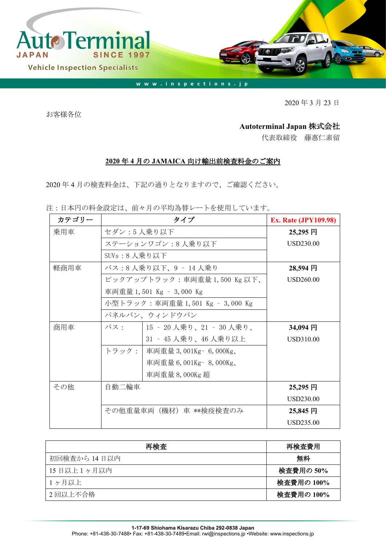

2020 年 3 月 23 日

お客様各位

## **Autoterminal Japan** 株式会社

代表取締役 藤惠仁素留

## **2020** 年 **4** 月の **JAMAICA** 向け輸出前検査料金のご案内

2020 年 4 月の検査料金は、下記の通りとなりますので、ご確認ください。

注:日本円の料金設定は、前々月の平均為替レートを使用しています。

| カテゴリー |                       | <b>Ex. Rate (JPY109.98)</b>     |           |
|-------|-----------------------|---------------------------------|-----------|
| 乗用車   | セダン:5人乗り以下            | 25,295円                         |           |
|       | ステーションワゴン:8人乗り以下      | USD230.00                       |           |
|       | SUV $s: 8$ 人乗り以下      |                                 |           |
| 軽商用車  |                       | バス:8 人乗り以下、9 ‐ 14 人乗り           | 28,594 円  |
|       |                       | ピックアップトラック:車両重量 1,500 Kg 以下、    | USD260.00 |
|       |                       | 車両重量 1,501 Kg - 3,000 Kg        |           |
|       |                       | 小型トラック:車両重量 1,501 Kg – 3,000 Kg |           |
|       |                       | パネルバン、ウィンドウバン                   |           |
| 商用車   |                       | バス:   15 - 20 人乗り、21 - 30 人乗り、  | 34,094 円  |
|       |                       | 31 ‐ 45 人乗り、46 人乗り以上            | USD310.00 |
|       |                       | トラック:   車両重量 3,001Kg - 6,000Kg、 |           |
|       |                       | 車両重量 6,001Kg - 8,000Kg、         |           |
|       |                       | 車両重量 8,000Kg 超                  |           |
| その他   | 自動二輪車                 |                                 | 25,295 円  |
|       |                       |                                 | USD230.00 |
|       | その他重量車両(機材)車 **検疫検査のみ | $25,845$ 円                      |           |
|       |                       |                                 | USD235.00 |

| 再検査          | 再検査費用      |
|--------------|------------|
| 初回検査から 14日以内 | 無料         |
| 15日以上1ヶ月以内   | 検査費用の 50%  |
| 1ヶ月以上        | 検査費用の 100% |
| 2回以上不合格      | 検査費用の 100% |